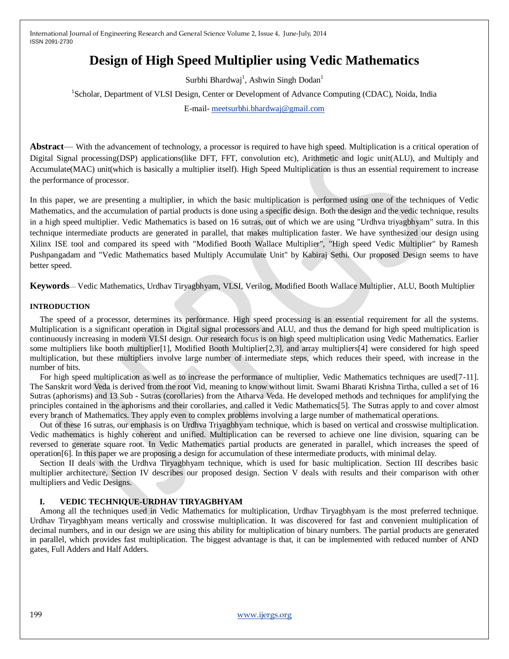# **Design of High Speed Multiplier using Vedic Mathematics**

Surbhi Bhardwaj<sup>1</sup>, Ashwin Singh Dodan<sup>1</sup>

<sup>1</sup>Scholar, Department of VLSI Design, Center or Development of Advance Computing (CDAC), Noida, India

E-mail- [meetsurbhi.bhardwaj@gmail.com](mailto:meetsurbhi.bhardwaj@gmail.com)

**Abstract**— With the advancement of technology, a processor is required to have high speed. Multiplication is a critical operation of Digital Signal processing(DSP) applications(like DFT, FFT, convolution etc), Arithmetic and logic unit(ALU), and Multiply and Accumulate(MAC) unit(which is basically a multiplier itself). High Speed Multiplication is thus an essential requirement to increase the performance of processor.

In this paper, we are presenting a multiplier, in which the basic multiplication is performed using one of the techniques of Vedic Mathematics, and the accumulation of partial products is done using a specific design. Both the design and the vedic technique, results in a high speed multiplier. Vedic Mathematics is based on 16 sutras, out of which we are using "Urdhva triyagbhyam" sutra. In this technique intermediate products are generated in parallel, that makes multiplication faster. We have synthesized our design using Xilinx ISE tool and compared its speed with "Modified Booth Wallace Multiplier", "High speed Vedic Multiplier" by Ramesh Pushpangadam and "Vedic Mathematics based Multiply Accumulate Unit" by Kabiraj Sethi. Our proposed Design seems to have better speed.

**Keywords**— Vedic Mathematics, Urdhav Tiryagbhyam, VLSI, Verilog, Modified Booth Wallace Multiplier, ALU, Booth Multiplier

## **INTRODUCTION**

The speed of a processor, determines its performance. High speed processing is an essential requirement for all the systems. Multiplication is a significant operation in Digital signal processors and ALU, and thus the demand for high speed multiplication is continuously increasing in modern VLSI design. Our research focus is on high speed multiplication using Vedic Mathematics. Earlier some multipliers like booth multiplier[1], Modified Booth Multiplier[2,3], and array multipliers[4] were considered for high speed multiplication, but these multipliers involve large number of intermediate steps, which reduces their speed, with increase in the number of bits.

For high speed multiplication as well as to increase the performance of multiplier, Vedic Mathematics techniques are used[7-11]. The Sanskrit word Veda is derived from the root Vid, meaning to know without limit. Swami Bharati Krishna Tirtha, culled a set of 16 Sutras (aphorisms) and 13 Sub - Sutras (corollaries) from the Atharva Veda. He developed methods and techniques for amplifying the principles contained in the aphorisms and their corollaries, and called it Vedic Mathematics[5]. The Sutras apply to and cover almost every branch of Mathematics. They apply even to complex problems involving a large number of mathematical operations.

Out of these 16 sutras, our emphasis is on Urdhva Triyagbhyam technique, which is based on vertical and crosswise multiplication. Vedic mathematics is highly coherent and unified. Multiplication can be reversed to achieve one line division, squaring can be reversed to generate square root. In Vedic Mathematics partial products are generated in parallel, which increases the speed of operation[6]. In this paper we are proposing a design for accumulation of these intermediate products, with minimal delay.

Section II deals with the Urdhva Tiryagbhyam technique, which is used for basic multiplication. Section III describes basic multiplier architecture, Section IV describes our proposed design. Section V deals with results and their comparison with other multipliers and Vedic Designs.

#### **I. VEDIC TECHNIQUE-URDHAV TIRYAGBHYAM**

Among all the techniques used in Vedic Mathematics for multiplication, Urdhav Tiryagbhyam is the most preferred technique. Urdhav Tiryagbhyam means vertically and crosswise multiplication. It was discovered for fast and convenient multiplication of decimal numbers, and in our design we are using this ability for multiplication of binary numbers. The partial products are generated in parallel, which provides fast multiplication. The biggest advantage is that, it can be implemented with reduced number of AND gates, Full Adders and Half Adders.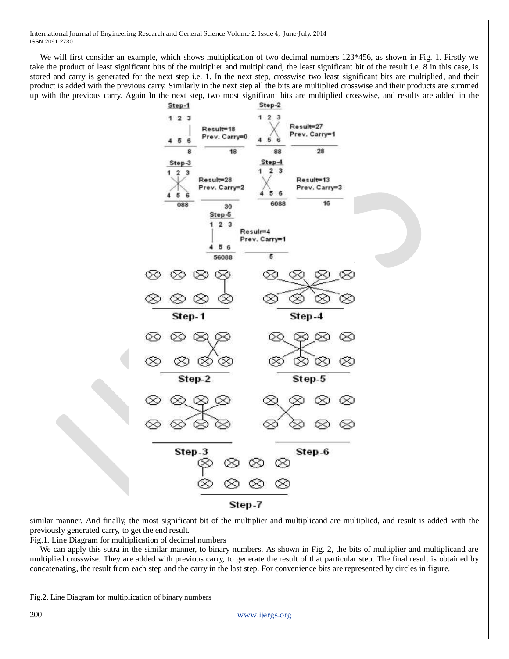We will first consider an example, which shows multiplication of two decimal numbers 123\*456, as shown in Fig. 1. Firstly we take the product of least significant bits of the multiplier and multiplicand, the least significant bit of the result i.e. 8 in this case, is stored and carry is generated for the next step i.e. 1. In the next step, crosswise two least significant bits are multiplied, and their product is added with the previous carry. Similarly in the next step all the bits are multiplied crosswise and their products are summed up with the previous carry. Again In the next step, two most significant bits are multiplied crosswise, and results are added in the



similar manner. And finally, the most significant bit of the multiplier and multiplicand are multiplied, and result is added with the previously generated carry, to get the end result.

Fig.1. Line Diagram for multiplication of decimal numbers

We can apply this sutra in the similar manner, to binary numbers. As shown in Fig. 2, the bits of multiplier and multiplicand are multiplied crosswise. They are added with previous carry, to generate the result of that particular step. The final result is obtained by concatenating, the result from each step and the carry in the last step. For convenience bits are represented by circles in figure.

Fig.2. Line Diagram for multiplication of binary numbers

200 [www.ijergs.org](http://www.ijergs.org/)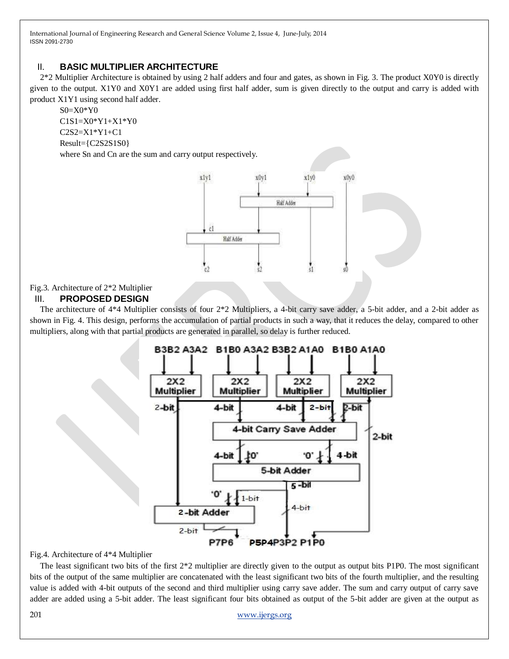# II. **BASIC MULTIPLIER ARCHITECTURE**

2\*2 Multiplier Architecture is obtained by using 2 half adders and four and gates, as shown in Fig. 3. The product X0Y0 is directly given to the output. X1Y0 and X0Y1 are added using first half adder, sum is given directly to the output and carry is added with product X1Y1 using second half adder.

S0=X0\*Y0 C1S1=X0\*Y1+X1\*Y0 C2S2=X1\*Y1+C1 Result={C2S2S1S0} where Sn and Cn are the sum and carry output respectively.

> x1v1 x0y1  $x1y0$ x0y0 Half Adder čl Half Adder

## Fig.3. Architecture of 2\*2 Multiplier

## III. **PROPOSED DESIGN**

The architecture of 4\*4 Multiplier consists of four 2\*2 Multipliers, a 4-bit carry save adder, a 5-bit adder, and a 2-bit adder as shown in Fig. 4. This design, performs the accumulation of partial products in such a way, that it reduces the delay, compared to other multipliers, along with that partial products are generated in parallel, so delay is further reduced.



#### Fig.4. Architecture of 4\*4 Multiplier

The least significant two bits of the first  $2*2$  multiplier are directly given to the output as output bits P1P0. The most significant bits of the output of the same multiplier are concatenated with the least significant two bits of the fourth multiplier, and the resulting value is added with 4-bit outputs of the second and third multiplier using carry save adder. The sum and carry output of carry save adder are added using a 5-bit adder. The least significant four bits obtained as output of the 5-bit adder are given at the output as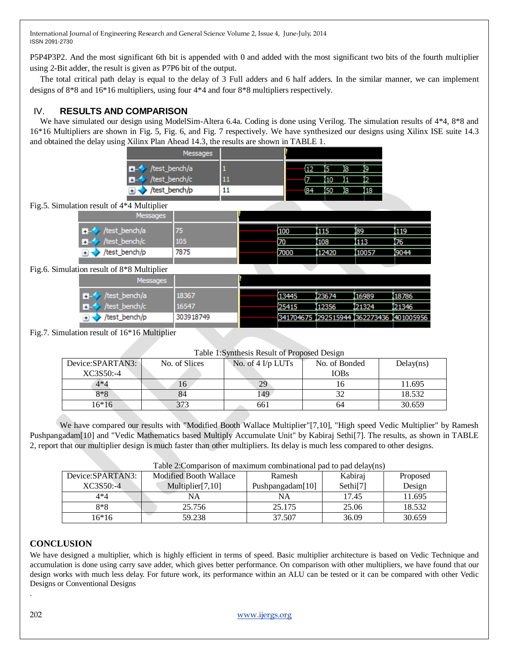P5P4P3P2. And the most significant 6th bit is appended with 0 and added with the most significant two bits of the fourth multiplier using 2-Bit adder, the result is given as P7P6 bit of the output.

The total critical path delay is equal to the delay of 3 Full adders and 6 half adders. In the similar manner, we can implement designs of 8\*8 and 16\*16 multipliers, using four 4\*4 and four 8\*8 multipliers respectively.

# IV. **RESULTS AND COMPARISON**

We have simulated our design using ModelSim-Altera 6.4a. Coding is done using Verilog. The simulation results of 4\*4, 8\*8 and 16\*16 Multipliers are shown in Fig. 5, Fig. 6, and Fig. 7 respectively. We have synthesized our designs using Xilinx ISE suite 14.3 and obtained the delay using Xilinx Plan Ahead 14.3, the results are shown in TABLE 1.

| Messages                                   |     |     |     |    |     |  |
|--------------------------------------------|-----|-----|-----|----|-----|--|
| /test_bench/a                              |     |     |     | ß  | ĵ9  |  |
| /test_bench/c                              | -11 |     |     |    |     |  |
| /test_bench/p                              | ᅭ   | (84 | 150 | 18 | I18 |  |
| Fig.5. Simulation result of 4*4 Multiplier |     |     |     |    |     |  |

| Messages                      |      |       |       |       |       |
|-------------------------------|------|-------|-------|-------|-------|
| /test_bench/a<br>$\pm$ $\sim$ | 75   | 100   | 1115  | 189   | 119   |
| test_bench/c<br><b>+</b>      | 105  | 70    | 108   | 113   | 176   |
| test_bench/p/                 | 7875 | (7000 | 12420 | 10057 | 19044 |
|                               |      |       |       |       |       |

Fig.6. Simu

| ilation result of 8*8 Multiplier |           |                                         |        |        |        |
|----------------------------------|-----------|-----------------------------------------|--------|--------|--------|
| Messages                         |           |                                         |        |        |        |
| $\rightarrow$ /test_bench/a      | 18367     | (13445                                  | 123674 | 116989 | 18786  |
| $H -$ /test_bench/c              | 16547     | (25415                                  | 112356 | 121324 | 121346 |
| /test_bench/p                    | 303918749 | 341704675 292515944 362273436 401005956 |        |        |        |

Fig.7. Simulation result of 16\*16 Multiplier

## Table 1:Synthesis Result of Proposed Design

| Device:SPARTAN3: | No. of Slices | No. of $4$ I/p LUTs | No. of Bonded | Delay(ns) |
|------------------|---------------|---------------------|---------------|-----------|
| XC3S50:-4        |               |                     | <b>IOBs</b>   |           |
| $4*4$            | 16            | 29                  |               | 11.695    |
| 8*8              | 84            | 49                  |               | 18.532    |
| 16*16            |               | 661                 | 64            | 30.659    |

We have compared our results with "Modified Booth Wallace Multiplier"[7,10], "High speed Vedic Multiplier" by Ramesh Pushpangadam[10] and "Vedic Mathematics based Multiply Accumulate Unit" by Kabiraj Sethi[7]. The results, as shown in TABLE 2, report that our multiplier design is much faster than other multipliers. Its delay is much less compared to other designs.

| Table 2:Comparison of maximum combinational pad to pad delay(ns) |                               |                  |                      |          |  |  |
|------------------------------------------------------------------|-------------------------------|------------------|----------------------|----------|--|--|
| Device:SPARTAN3:                                                 | <b>Modified Booth Wallace</b> | Ramesh           | Kabiraj              | Proposed |  |  |
| XC3S50:-4                                                        | Multiplier $[7,10]$           | Pushpangadam[10] | Sethi <sup>[7]</sup> | Design   |  |  |
| $4*4$                                                            | NA                            | NA               | 17.45                | 11.695   |  |  |
| $8*8$                                                            | 25.756                        | 25.175           | 25.06                | 18.532   |  |  |
| 16*16                                                            | 59.238                        | 37.507           | 36.09                | 30.659   |  |  |

Table 2:Comparison of maximum combinational pad to pad delay(ns)

# **CONCLUSION**

We have designed a multiplier, which is highly efficient in terms of speed. Basic multiplier architecture is based on Vedic Technique and accumulation is done using carry save adder, which gives better performance. On comparison with other multipliers, we have found that our design works with much less delay. For future work, its performance within an ALU can be tested or it can be compared with other Vedic Designs or Conventional Designs

.